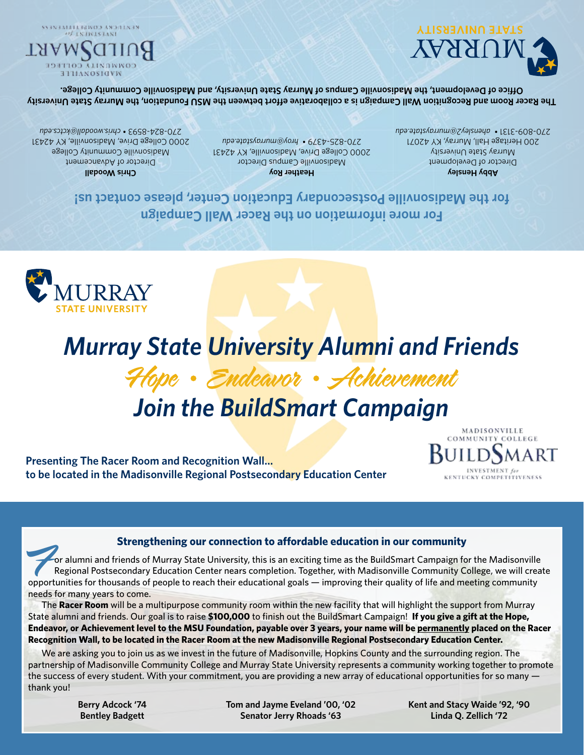**Tom and Jayme Eveland '00, '02 Senator Jerry Rhoads '63**

**Kent and Stacy Waide '92, '90 Linda Q. Zellich '72**

The **Racer Room** will be a multipurpose community room within the new facility that will highlight the support from Murray State alumni and friends. Our goal is to raise **\$100,000** to finish out the BuildSmart Campaign! **If you give a gift at the Hope, Endeavor, or Achievement level to the MSU Foundation, payable over 3 years, your name will be permanently placed on the Racer Recognition Wall, to be located in the Racer Room at the new Madisonville Regional Postsecondary Education Center.**

We are asking you to join us as we invest in the future of Madisonville, Hopkins County and the surrounding region. The partnership of Madisonville Community College and Murray State University represents a community working together to promote the success of every student. With your commitment, you are providing a new array of educational opportunities for so many  $-$ 

## Strengthening our connection to affordable education in our community<br>or alumni and friends of Murray State University, this is an exciting time as the BuildSmart Campaign for the Madisonville<br>Regional Postsecondary Educat Regional Postsecondary Education Center nears completion. Together, with Madisonville Community College, we will create needs for many years to come.

**COMMUNITY COLLEGE Presenting The Racer Room and Recognition Wall… to be located in the Madisonville Regional Postsecondary Education Center KENTHCKY COMPETITIVENES** 

# *Join the BuildSmart Campaign*





thank you!

**Berry Adcock '74 Bentley Badgett**

#### **For more information on the Racer Wall Campaign for the Madisonville Postsecondary Education Center, please contact us!**

**Chris Woodall** Director of Advancement Madisonville Community College 2000 College Drive, Madisonville, KY 42431

*chris.woodall@kctcs.edu* 270-824-8593 •

**Heather Roy** Madisonville Campus Director 2000 College Drive, Madisonville, KY 42431 *hroy@murraystate.edu* 270-825-4379 •

**Abby Hensley** Director of Development Murray State University 200 Heritage Hall, Murray, KY 42071 *ahensley2@murraystate.edu* 270-809-3131 •

**MADISONVILLE** 

**The Racer Room and Recognition Wall Campaign is a collaborative effort between the MSU Foundation, the Murray State University Office of Development, the Madisonville Campus of Murray State University, and Madisonville Community College.**



SSBNBALLERINGS ANDELNBN